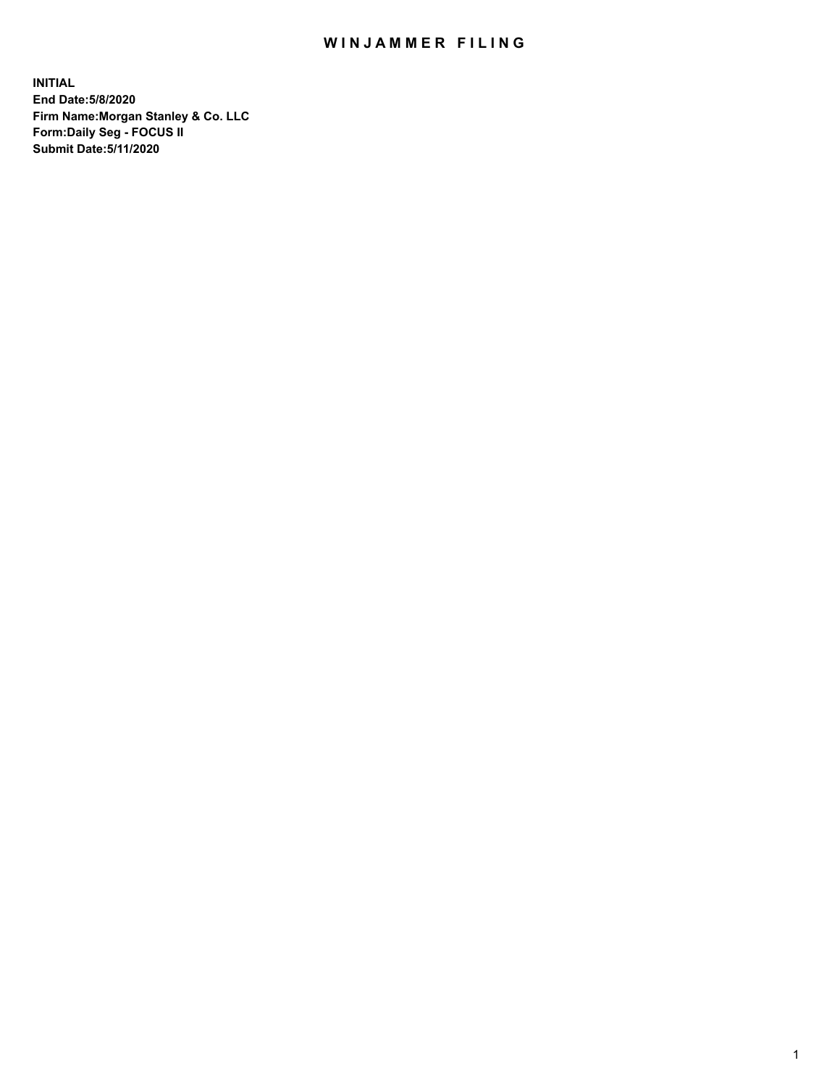## WIN JAMMER FILING

**INITIAL End Date:5/8/2020 Firm Name:Morgan Stanley & Co. LLC Form:Daily Seg - FOCUS II Submit Date:5/11/2020**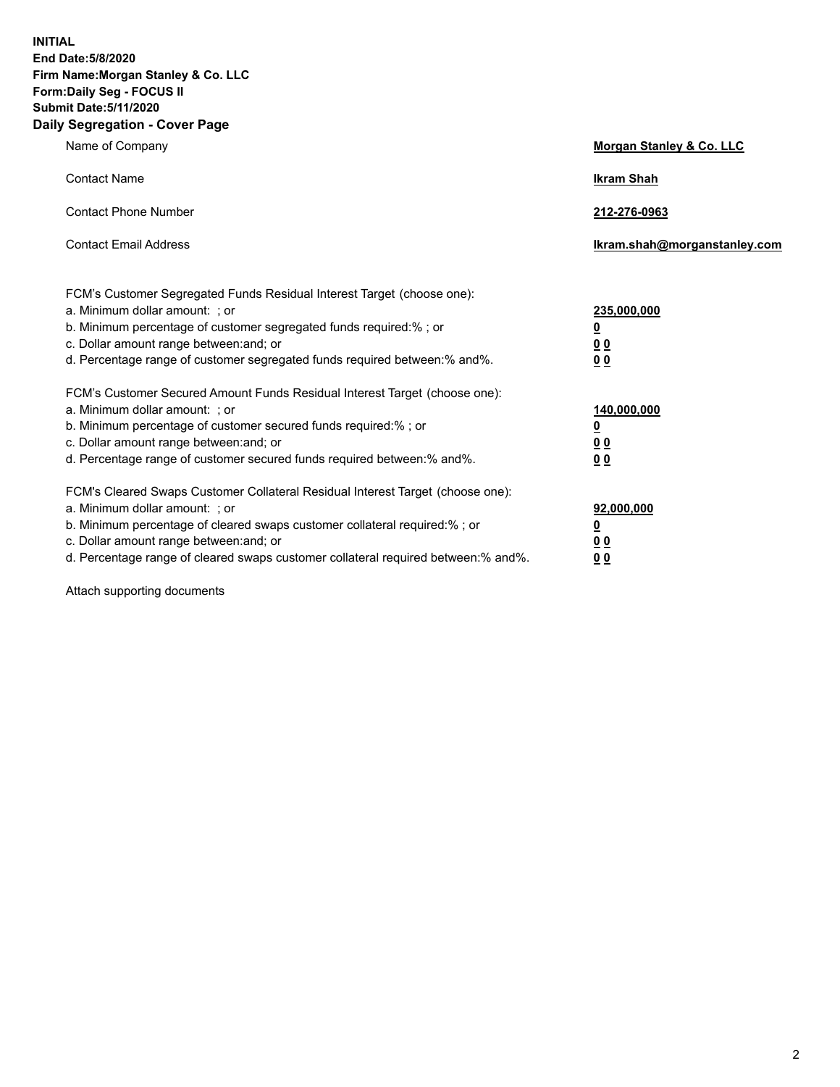**INITIAL End Date:5/8/2020 Firm Name:Morgan Stanley & Co. LLC Form:Daily Seg - FOCUS II Submit Date:5/11/2020 Daily Segregation - Cover Page**

| Name of Company                                                                                                                                                                                                                                                                                                                | <b>Morgan Stanley &amp; Co. LLC</b>                    |
|--------------------------------------------------------------------------------------------------------------------------------------------------------------------------------------------------------------------------------------------------------------------------------------------------------------------------------|--------------------------------------------------------|
| <b>Contact Name</b>                                                                                                                                                                                                                                                                                                            | <b>Ikram Shah</b>                                      |
| <b>Contact Phone Number</b>                                                                                                                                                                                                                                                                                                    | 212-276-0963                                           |
| <b>Contact Email Address</b>                                                                                                                                                                                                                                                                                                   | Ikram.shah@morganstanley.com                           |
| FCM's Customer Segregated Funds Residual Interest Target (choose one):<br>a. Minimum dollar amount: ; or<br>b. Minimum percentage of customer segregated funds required:% ; or<br>c. Dollar amount range between: and; or<br>d. Percentage range of customer segregated funds required between:% and%.                         | 235,000,000<br><u>0</u><br>0 Q<br>0 Q                  |
| FCM's Customer Secured Amount Funds Residual Interest Target (choose one):<br>a. Minimum dollar amount: ; or<br>b. Minimum percentage of customer secured funds required:% ; or<br>c. Dollar amount range between: and; or<br>d. Percentage range of customer secured funds required between: % and %.                         | 140,000,000<br><u>0</u><br><u>00</u><br>0 <sub>0</sub> |
| FCM's Cleared Swaps Customer Collateral Residual Interest Target (choose one):<br>a. Minimum dollar amount: ; or<br>b. Minimum percentage of cleared swaps customer collateral required:% ; or<br>c. Dollar amount range between: and; or<br>d. Percentage range of cleared swaps customer collateral required between:% and%. | 92,000,000<br><u>0</u><br>0 Q<br>00                    |

Attach supporting documents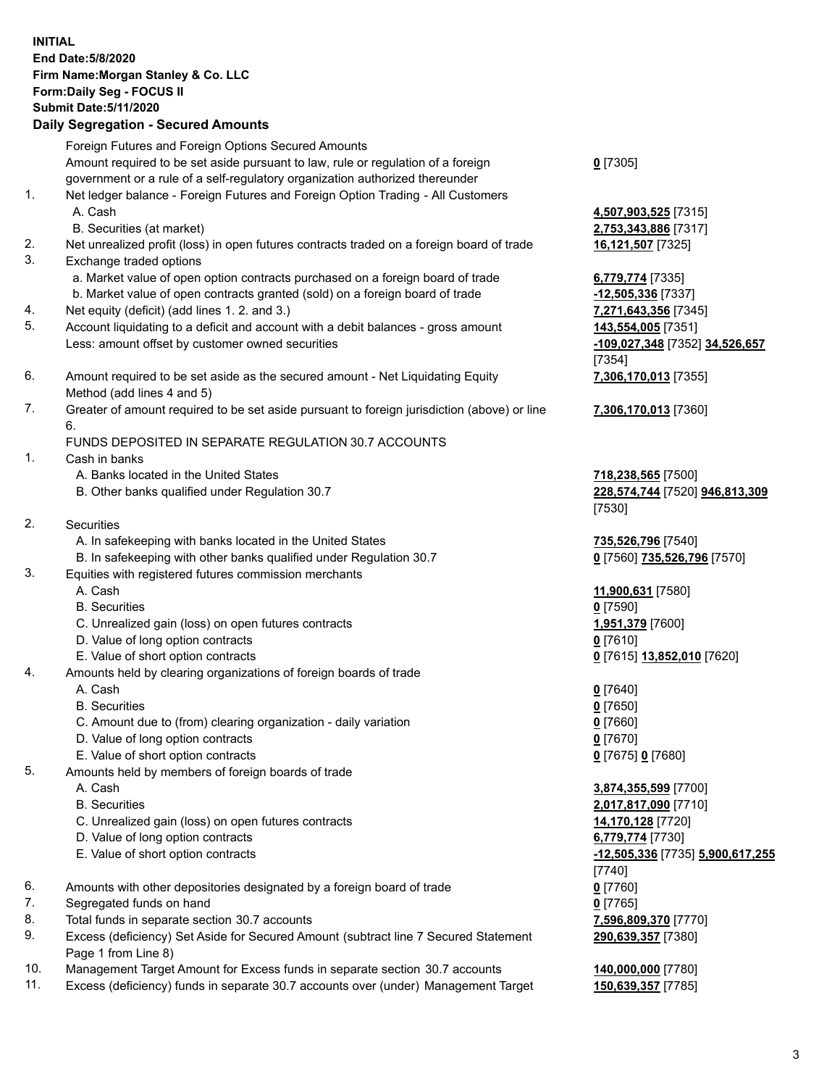## **INITIAL End Date:5/8/2020 Firm Name:Morgan Stanley & Co. LLC Form:Daily Seg - FOCUS II Submit Date:5/11/2020 Daily Segregation - Secured Amounts** Foreign Futures and Foreign Options Secured Amounts Amount required to be set aside pursuant to law, rule or regulation of a foreign government or a rule of a self-regulatory organization authorized thereunder 1. Net ledger balance - Foreign Futures and Foreign Option Trading - All Customers A. Cash **4,507,903,525** [7315] B. Securities (at market) **2,753,343,886** [7317] 2. Net unrealized profit (loss) in open futures contracts traded on a foreign board of trade **16,121,507** [7325] 3. Exchange traded options a. Market value of open option contracts purchased on a foreign board of trade **6,779,774** [7335] b. Market value of open contracts granted (sold) on a foreign board of trade **-12,505,336** [7337] 4. Net equity (deficit) (add lines 1. 2. and 3.) **7,271,643,356** [7345] 5. Account liquidating to a deficit and account with a debit balances - gross amount **143,554,005** [7351] Less: amount offset by customer owned securities **-109,027,348** [7352] **34,526,657** 6. Amount required to be set aside as the secured amount - Net Liquidating Equity Method (add lines 4 and 5) 7. Greater of amount required to be set aside pursuant to foreign jurisdiction (above) or line 6. FUNDS DEPOSITED IN SEPARATE REGULATION 30.7 ACCOUNTS 1. Cash in banks A. Banks located in the United States **718,238,565** [7500] B. Other banks qualified under Regulation 30.7 **228,574,744** [7520] **946,813,309**

- 2. Securities
	- A. In safekeeping with banks located in the United States **735,526,796** [7540]
	- B. In safekeeping with other banks qualified under Regulation 30.7 **0** [7560] **735,526,796** [7570]
- 3. Equities with registered futures commission merchants
	-
	- B. Securities **0** [7590]
	- C. Unrealized gain (loss) on open futures contracts **1,951,379** [7600]
	- D. Value of long option contracts **0** [7610]
- E. Value of short option contracts **0** [7615] **13,852,010** [7620]
- 4. Amounts held by clearing organizations of foreign boards of trade
	- A. Cash **0** [7640]
	- B. Securities **0** [7650]
	- C. Amount due to (from) clearing organization daily variation **0** [7660]
	- D. Value of long option contracts **0** [7670]
	- E. Value of short option contracts **0** [7675] **0** [7680]
- 5. Amounts held by members of foreign boards of trade
	-
	-
	- C. Unrealized gain (loss) on open futures contracts **14,170,128** [7720]
	- D. Value of long option contracts **6,779,774** [7730]
	- E. Value of short option contracts **-12,505,336** [7735] **5,900,617,255**
- 6. Amounts with other depositories designated by a foreign board of trade **0** [7760]
- 7. Segregated funds on hand **0** [7765]
- 8. Total funds in separate section 30.7 accounts **7,596,809,370** [7770]
- 9. Excess (deficiency) Set Aside for Secured Amount (subtract line 7 Secured Statement Page 1 from Line 8)
- 10. Management Target Amount for Excess funds in separate section 30.7 accounts **140,000,000** [7780]
- 11. Excess (deficiency) funds in separate 30.7 accounts over (under) Management Target **150,639,357** [7785]

**0** [7305]

[7354] **7,306,170,013** [7355]

**7,306,170,013** [7360]

[7530]

A. Cash **11,900,631** [7580]

 A. Cash **3,874,355,599** [7700] B. Securities **2,017,817,090** [7710] [7740] **290,639,357** [7380]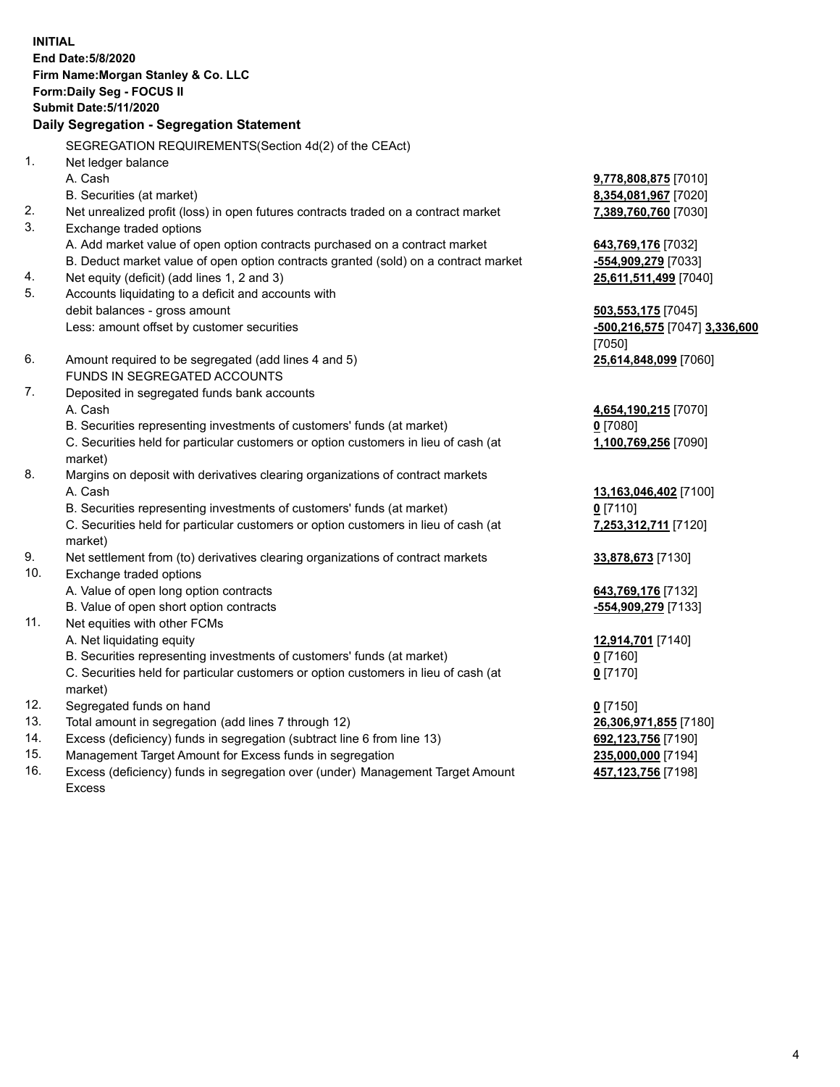**INITIAL End Date:5/8/2020 Firm Name:Morgan Stanley & Co. LLC Form:Daily Seg - FOCUS II Submit Date:5/11/2020 Daily Segregation - Segregation Statement** SEGREGATION REQUIREMENTS(Section 4d(2) of the CEAct) 1. Net ledger balance A. Cash **9,778,808,875** [7010] B. Securities (at market) **8,354,081,967** [7020] 2. Net unrealized profit (loss) in open futures contracts traded on a contract market **7,389,760,760** [7030] 3. Exchange traded options A. Add market value of open option contracts purchased on a contract market **643,769,176** [7032] B. Deduct market value of open option contracts granted (sold) on a contract market **-554,909,279** [7033] 4. Net equity (deficit) (add lines 1, 2 and 3) **25,611,511,499** [7040] 5. Accounts liquidating to a deficit and accounts with debit balances - gross amount **503,553,175** [7045] Less: amount offset by customer securities **-500,216,575** [7047] **3,336,600** [7050] 6. Amount required to be segregated (add lines 4 and 5) **25,614,848,099** [7060] FUNDS IN SEGREGATED ACCOUNTS 7. Deposited in segregated funds bank accounts A. Cash **4,654,190,215** [7070] B. Securities representing investments of customers' funds (at market) **0** [7080] C. Securities held for particular customers or option customers in lieu of cash (at market) **1,100,769,256** [7090] 8. Margins on deposit with derivatives clearing organizations of contract markets A. Cash **13,163,046,402** [7100] B. Securities representing investments of customers' funds (at market) **0** [7110] C. Securities held for particular customers or option customers in lieu of cash (at market) **7,253,312,711** [7120] 9. Net settlement from (to) derivatives clearing organizations of contract markets **33,878,673** [7130] 10. Exchange traded options A. Value of open long option contracts **643,769,176** [7132] B. Value of open short option contracts **-554,909,279** [7133] 11. Net equities with other FCMs A. Net liquidating equity **12,914,701** [7140] B. Securities representing investments of customers' funds (at market) **0** [7160] C. Securities held for particular customers or option customers in lieu of cash (at market) **0** [7170] 12. Segregated funds on hand **0** [7150] 13. Total amount in segregation (add lines 7 through 12) **26,306,971,855** [7180] 14. Excess (deficiency) funds in segregation (subtract line 6 from line 13) **692,123,756** [7190] 15. Management Target Amount for Excess funds in segregation **235,000,000** [7194]

16. Excess (deficiency) funds in segregation over (under) Management Target Amount Excess

**457,123,756** [7198]